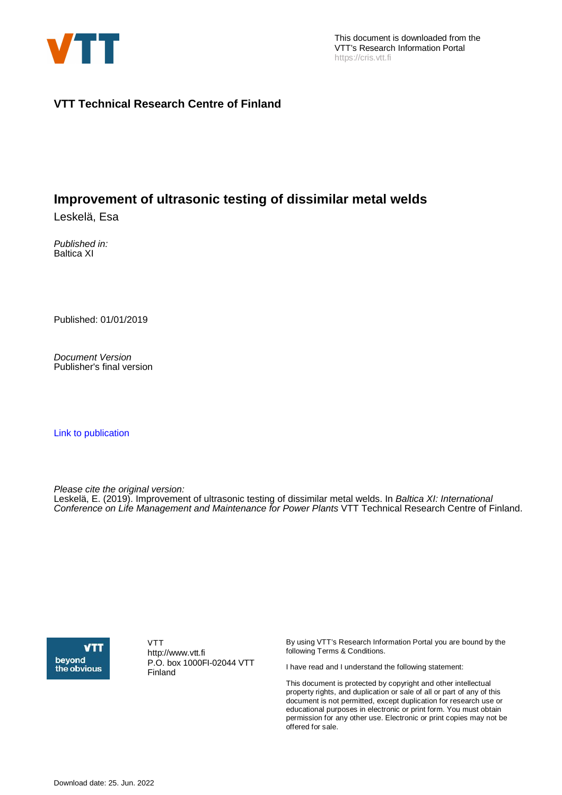

# **VTT Technical Research Centre of Finland**

# **Improvement of ultrasonic testing of dissimilar metal welds**

Leskelä, Esa

Published in: Baltica XI

Published: 01/01/2019

Document Version Publisher's final version

[Link to publication](https://cris.vtt.fi/en/publications/e595a116-fe79-41ac-9cb4-6593bea100b1)

Please cite the original version:

Leskelä, E. (2019). Improvement of ultrasonic testing of dissimilar metal welds. In Baltica XI: International Conference on Life Management and Maintenance for Power Plants VTT Technical Research Centre of Finland.



VTT http://www.vtt.fi P.O. box 1000FI-02044 VTT Finland

By using VTT's Research Information Portal you are bound by the following Terms & Conditions.

I have read and I understand the following statement:

This document is protected by copyright and other intellectual property rights, and duplication or sale of all or part of any of this document is not permitted, except duplication for research use or educational purposes in electronic or print form. You must obtain permission for any other use. Electronic or print copies may not be offered for sale.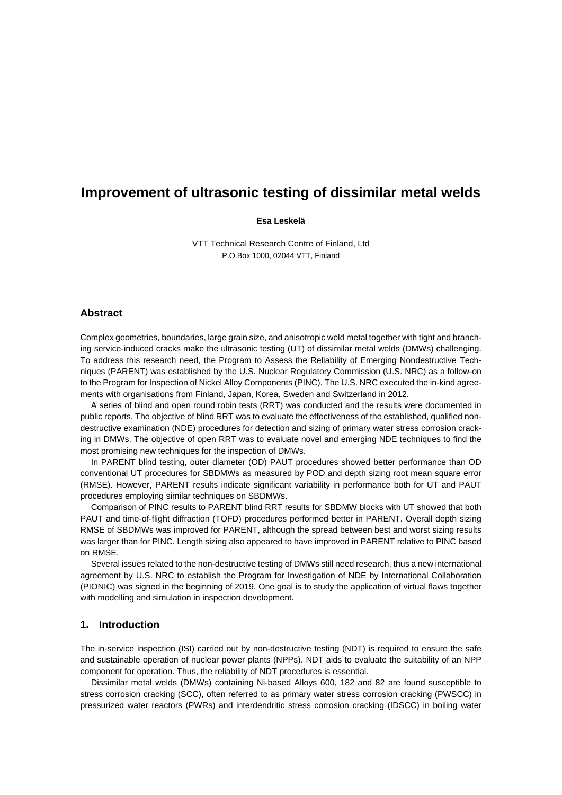# **Improvement of ultrasonic testing of dissimilar metal welds**

### **Esa Leskelä**

VTT Technical Research Centre of Finland, Ltd P.O.Box 1000, 02044 VTT, Finland

### **Abstract**

Complex geometries, boundaries, large grain size, and anisotropic weld metal together with tight and branching service-induced cracks make the ultrasonic testing (UT) of dissimilar metal welds (DMWs) challenging. To address this research need, the Program to Assess the Reliability of Emerging Nondestructive Techniques (PARENT) was established by the U.S. Nuclear Regulatory Commission (U.S. NRC) as a follow-on to the Program for Inspection of Nickel Alloy Components (PINC). The U.S. NRC executed the in-kind agreements with organisations from Finland, Japan, Korea, Sweden and Switzerland in 2012.

A series of blind and open round robin tests (RRT) was conducted and the results were documented in public reports. The objective of blind RRT was to evaluate the effectiveness of the established, qualified nondestructive examination (NDE) procedures for detection and sizing of primary water stress corrosion cracking in DMWs. The objective of open RRT was to evaluate novel and emerging NDE techniques to find the most promising new techniques for the inspection of DMWs.

In PARENT blind testing, outer diameter (OD) PAUT procedures showed better performance than OD conventional UT procedures for SBDMWs as measured by POD and depth sizing root mean square error (RMSE). However, PARENT results indicate significant variability in performance both for UT and PAUT procedures employing similar techniques on SBDMWs.

Comparison of PINC results to PARENT blind RRT results for SBDMW blocks with UT showed that both PAUT and time-of-flight diffraction (TOFD) procedures performed better in PARENT. Overall depth sizing RMSE of SBDMWs was improved for PARENT, although the spread between best and worst sizing results was larger than for PINC. Length sizing also appeared to have improved in PARENT relative to PINC based on RMSE.

Several issues related to the non-destructive testing of DMWs still need research, thus a new international agreement by U.S. NRC to establish the Program for Investigation of NDE by International Collaboration (PIONIC) was signed in the beginning of 2019. One goal is to study the application of virtual flaws together with modelling and simulation in inspection development.

# **1. Introduction**

The in-service inspection (ISI) carried out by non-destructive testing (NDT) is required to ensure the safe and sustainable operation of nuclear power plants (NPPs). NDT aids to evaluate the suitability of an NPP component for operation. Thus, the reliability of NDT procedures is essential.

Dissimilar metal welds (DMWs) containing Ni-based Alloys 600, 182 and 82 are found susceptible to stress corrosion cracking (SCC), often referred to as primary water stress corrosion cracking (PWSCC) in pressurized water reactors (PWRs) and interdendritic stress corrosion cracking (IDSCC) in boiling water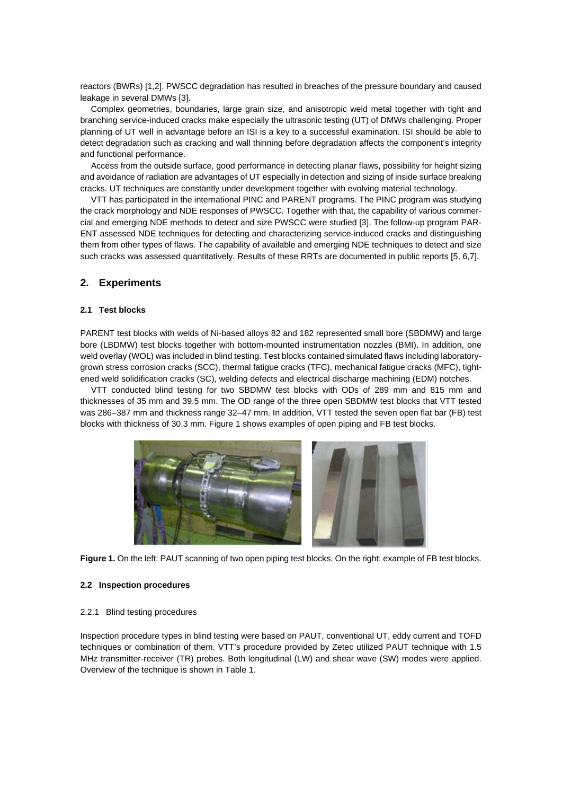reactors (BWRs) [\[1,](#page-9-0)[2\]](#page-9-1). PWSCC degradation has resulted in breaches of the pressure boundary and caused leakage in several DMWs [\[3\]](#page-9-2).

Complex geometries, boundaries, large grain size, and anisotropic weld metal together with tight and branching service-induced cracks make especially the ultrasonic testing (UT) of DMWs challenging. Proper planning of UT well in advantage before an ISI is a key to a successful examination. ISI should be able to detect degradation such as cracking and wall thinning before degradation affects the component's integrity and functional performance.

Access from the outside surface, good performance in detecting planar flaws, possibility for height sizing and avoidance of radiation are advantages of UT especially in detection and sizing of inside surface breaking cracks. UT techniques are constantly under development together with evolving material technology.

VTT has participated in the international PINC and PARENT programs. The PINC program was studying the crack morphology and NDE responses of PWSCC. Together with that, the capability of various commercial and emerging NDE methods to detect and size PWSCC were studied [\[3\].](#page-9-2) The follow-up program PAR-ENT assessed NDE techniques for detecting and characterizing service-induced cracks and distinguishing them from other types of flaws. The capability of available and emerging NDE techniques to detect and size such cracks was assessed quantitatively. Results of these RRTs are documented in public reports [\[5,](#page-10-0) [6](#page-10-1)[,7\]](#page-10-2).

## **2. Experiments**

### **2.1 Test blocks**

PARENT test blocks with welds of Ni-based alloys 82 and 182 represented small bore (SBDMW) and large bore (LBDMW) test blocks together with bottom-mounted instrumentation nozzles (BMI). In addition, one weld overlay (WOL) was included in blind testing. Test blocks contained simulated flaws including laboratorygrown stress corrosion cracks (SCC), thermal fatigue cracks (TFC), mechanical fatigue cracks (MFC), tightened weld solidification cracks (SC), welding defects and electrical discharge machining (EDM) notches.

VTT conducted blind testing for two SBDMW test blocks with ODs of 289 mm and 815 mm and thicknesses of 35 mm and 39.5 mm. The OD range of the three open SBDMW test blocks that VTT tested was 286–387 mm and thickness range 32–47 mm. In addition, VTT tested the seven open flat bar (FB) test blocks with thickness of 30.3 mm. [Figure 1](#page-2-0) shows examples of open piping and FB test blocks.



<span id="page-2-0"></span>**Figure 1.** On the left: PAUT scanning of two open piping test blocks. On the right: example of FB test blocks.

### **2.2 Inspection procedures**

### 2.2.1 Blind testing procedures

Inspection procedure types in blind testing were based on PAUT, conventional UT, eddy current and TOFD techniques or combination of them. VTT's procedure provided by Zetec utilized PAUT technique with 1.5 MHz transmitter-receiver (TR) probes. Both longitudinal (LW) and shear wave (SW) modes were applied. Overview of the technique is shown i[n Table 1.](#page-3-0)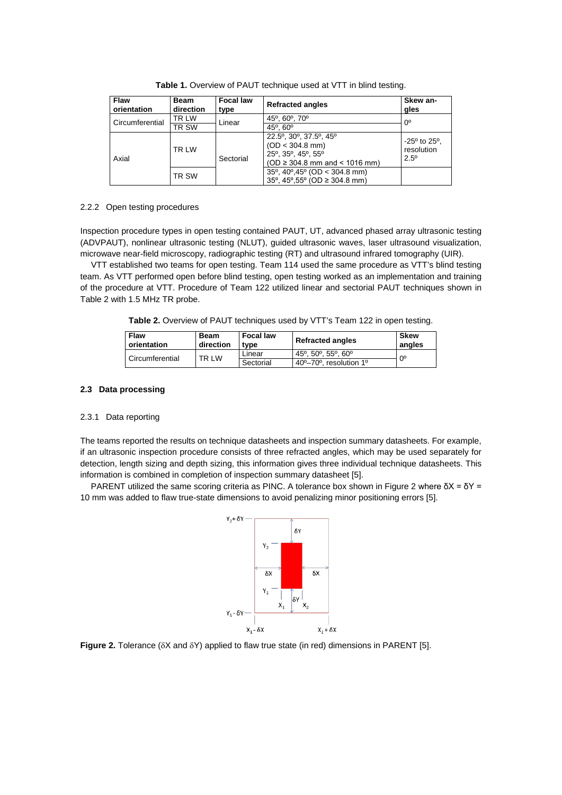<span id="page-3-0"></span>

| Flaw<br>orientation    | <b>Beam</b><br>direction | <b>Focal law</b><br>type | <b>Refracted angles</b>                                                                                        | Skew an-<br>gles                                                |  |
|------------------------|--------------------------|--------------------------|----------------------------------------------------------------------------------------------------------------|-----------------------------------------------------------------|--|
| <b>Circumferential</b> | TR LW                    | Linear                   | 45°, 60°, 70°                                                                                                  | 0°                                                              |  |
|                        | TR SW                    |                          | 45°, 60°                                                                                                       |                                                                 |  |
| Axial                  | TR LW                    | Sectorial                | 22.5°, 30°, 37.5°, 45°<br>$(OD < 304.8$ mm)<br>25°, 35°, 45°, 55°<br>$(OD \ge 304.8 \text{ mm}$ and < 1016 mm) | $-25^{\circ}$ to 25 $^{\circ}$ .<br>resolution<br>$2.5^{\circ}$ |  |
|                        | TR SW                    |                          | $35^{\circ}$ , 40 $^{\circ}$ , 45 $^{\circ}$ (OD < 304.8 mm)<br>35°, 45°,55° (OD $\geq$ 304.8 mm)              |                                                                 |  |

**Table 1.** Overview of PAUT technique used at VTT in blind testing.

### 2.2.2 Open testing procedures

Inspection procedure types in open testing contained PAUT, UT, advanced phased array ultrasonic testing (ADVPAUT), nonlinear ultrasonic testing (NLUT), guided ultrasonic waves, laser ultrasound visualization, microwave near-field microscopy, radiographic testing (RT) and ultrasound infrared tomography (UIR).

<span id="page-3-1"></span>VTT established two teams for open testing. Team 114 used the same procedure as VTT's blind testing team. As VTT performed open before blind testing, open testing worked as an implementation and training of the procedure at VTT. Procedure of Team 122 utilized linear and sectorial PAUT techniques shown in [Table 2](#page-3-1) with 1.5 MHz TR probe.

**Table 2.** Overview of PAUT techniques used by VTT's Team 122 in open testing.

| <b>Flaw</b><br>orientation | <b>Beam</b><br>direction | <b>Focal law</b><br>tvpe | <b>Refracted angles</b>                                      | <b>Skew</b><br>angles |
|----------------------------|--------------------------|--------------------------|--------------------------------------------------------------|-----------------------|
| Circumferential            | TR LW                    | Linear                   | 45°, 50°, 55°, 60°                                           | $0^{\circ}$           |
|                            |                          | Sectorial                | 40 <sup>o</sup> -70 <sup>o</sup> , resolution 1 <sup>o</sup> |                       |

## **2.3 Data processing**

### 2.3.1 Data reporting

The teams reported the results on technique datasheets and inspection summary datasheets. For example, if an ultrasonic inspection procedure consists of three refracted angles, which may be used separately for detection, length sizing and depth sizing, this information gives three individual technique datasheets. This information is combined in completion of inspection summary datasheet [\[5\]](#page-10-0).

PARENT utilized the same scoring criteria as PINC. A tolerance box shown in [Figure 2](#page-3-2) where  $\delta X = \delta Y =$ 10 mm was added to flaw true-state dimensions to avoid penalizing minor positioning errors [\[5\]](#page-10-0).



<span id="page-3-2"></span>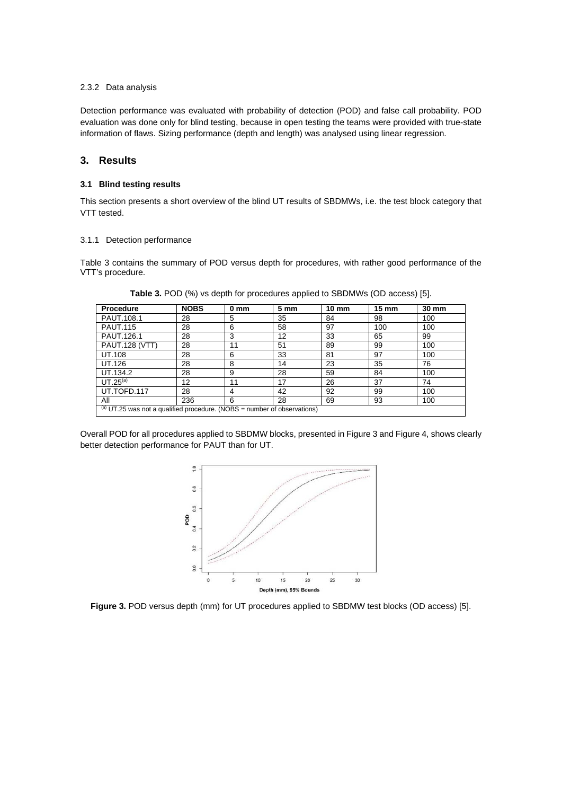### 2.3.2 Data analysis

Detection performance was evaluated with probability of detection (POD) and false call probability. POD evaluation was done only for blind testing, because in open testing the teams were provided with true-state information of flaws. Sizing performance (depth and length) was analysed using linear regression.

# **3. Results**

### **3.1 Blind testing results**

This section presents a short overview of the blind UT results of SBDMWs, i.e. the test block category that VTT tested.

### 3.1.1 Detection performance

[Table 3](#page-4-0) contains the summary of POD versus depth for procedures, with rather good performance of the VTT's procedure.

| <b>Procedure</b>                                                         | <b>NOBS</b> | 0 mm | 5 <sub>mm</sub> | $10 \text{ mm}$ | $15 \text{ mm}$ | 30 mm |
|--------------------------------------------------------------------------|-------------|------|-----------------|-----------------|-----------------|-------|
| PAUT.108.1                                                               | 28          | 5    | 35              | 84              | 98              | 100   |
| <b>PAUT.115</b>                                                          | 28          | 6    | 58              | 97              | 100             | 100   |
| PAUT.126.1                                                               | 28          | 3    | 12              | 33              | 65              | 99    |
| <b>PAUT.128 (VTT)</b>                                                    | 28          | 11   | 51              | 89              | 99              | 100   |
| UT.108                                                                   | 28          | 6    | 33              | 81              | 97              | 100   |
| UT.126                                                                   | 28          | 8    | 14              | 23              | 35              | 76    |
| UT.134.2                                                                 | 28          | 9    | 28              | 59              | 84              | 100   |
| $UT.25^\mathrm{(a)}$                                                     | 12          | 11   | 17              | 26              | 37              | 74    |
| UT.TOFD.117                                                              | 28          | 4    | 42              | 92              | 99              | 100   |
| ΑIΙ                                                                      | 236         | 6    | 28              | 69              | 93              | 100   |
| (a) UT.25 was not a qualified procedure. (NOBS = number of observations) |             |      |                 |                 |                 |       |

<span id="page-4-0"></span>**Table 3.** POD (%) vs depth for procedures applied to SBDMWs (OD access) [\[5\]](#page-10-0).

Overall POD for all procedures applied to SBDMW blocks, presented i[n Figure 3](#page-4-1) an[d Figure 4,](#page-5-0) shows clearly better detection performance for PAUT than for UT.



<span id="page-4-1"></span>**Figure 3.** POD versus depth (mm) for UT procedures applied to SBDMW test blocks (OD access) [\[5\]](#page-10-0).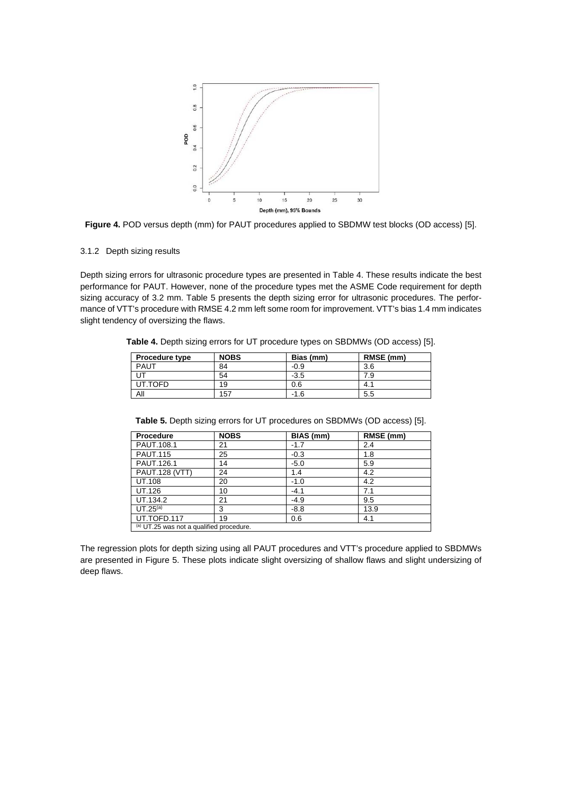

<span id="page-5-0"></span>**Figure 4.** POD versus depth (mm) for PAUT procedures applied to SBDMW test blocks (OD access) [\[5\]](#page-10-0).

### 3.1.2 Depth sizing results

Depth sizing errors for ultrasonic procedure types are presented in Table 4. These results indicate the best performance for PAUT. However, none of the procedure types met the ASME Code requirement for depth sizing accuracy of 3.2 mm. [Table 5](#page-5-1) presents the depth sizing error for ultrasonic procedures. The performance of VTT's procedure with RMSE 4.2 mm left some room for improvement. VTT's bias 1.4 mm indicates slight tendency of oversizing the flaws.

**Table 4.** Depth sizing errors for UT procedure types on SBDMWs (OD access) [\[5\]](#page-10-0).

| <b>Procedure type</b> | <b>NOBS</b> | Bias (mm) | RMSE (mm) |
|-----------------------|-------------|-----------|-----------|
| PAUT                  | 84          | $-0.9$    | 3.6       |
| UT                    | 54          | $-3.5$    | 7.9       |
| UT.TOFD               | 19          | 0.6       | -4. .     |
| Αll                   | 157         | $-1.6$    | 5.5       |

<span id="page-5-1"></span>**Table 5.** Depth sizing errors for UT procedures on SBDMWs (OD access) [\[5\]](#page-10-0).

| Procedure                                | <b>NOBS</b> | BIAS (mm) | RMSE (mm) |  |  |
|------------------------------------------|-------------|-----------|-----------|--|--|
| PAUT.108.1                               | 21          | $-1.7$    | 2.4       |  |  |
| <b>PAUT.115</b>                          | 25          | $-0.3$    | 1.8       |  |  |
| PAUT.126.1                               | 14          | $-5.0$    | 5.9       |  |  |
| <b>PAUT.128 (VTT)</b>                    | 24          | 1.4       | 4.2       |  |  |
| <b>UT.108</b>                            | 20          | $-1.0$    | 4.2       |  |  |
| UT.126                                   | 10          | $-4.1$    | 7.1       |  |  |
| UT.134.2                                 | 21          | $-4.9$    | 9.5       |  |  |
| UT.25 <sup>(a)</sup>                     | 3           | $-8.8$    | 13.9      |  |  |
| UT.TOFD.117                              | 19          | 0.6       | 4.1       |  |  |
| (a) UT.25 was not a qualified procedure. |             |           |           |  |  |

The regression plots for depth sizing using all PAUT procedures and VTT's procedure applied to SBDMWs are presented in [Figure 5.](#page-6-0) These plots indicate slight oversizing of shallow flaws and slight undersizing of deep flaws.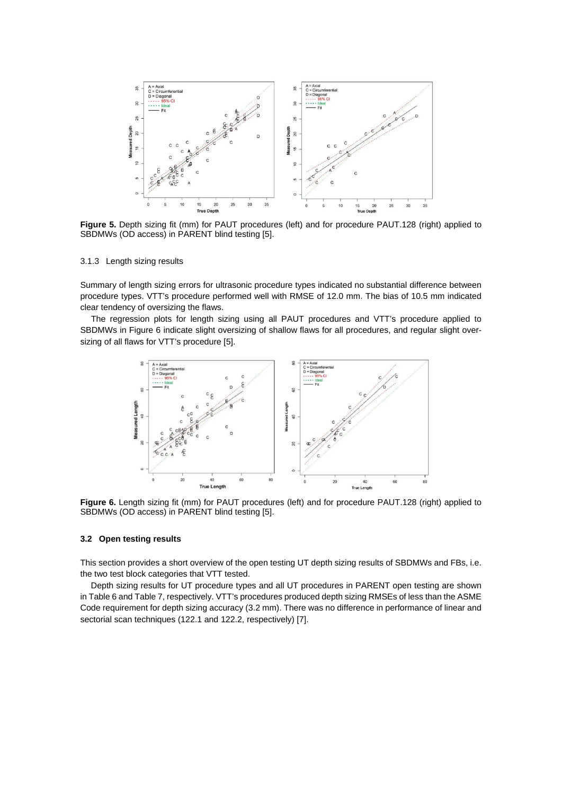

<span id="page-6-0"></span>**Figure 5.** Depth sizing fit (mm) for PAUT procedures (left) and for procedure PAUT.128 (right) applied to SBDMWs (OD access) in PARENT blind testing [\[5\]](#page-10-0).

### 3.1.3 Length sizing results

Summary of length sizing errors for ultrasonic procedure types indicated no substantial difference between procedure types. VTT's procedure performed well with RMSE of 12.0 mm. The bias of 10.5 mm indicated clear tendency of oversizing the flaws.

The regression plots for length sizing using all PAUT procedures and VTT's procedure applied to SBDMWs in Figure 6 indicate slight oversizing of shallow flaws for all procedures, and regular slight oversizing of all flaws for VTT's procedure [\[5\]](#page-10-0).



**Figure 6.** Length sizing fit (mm) for PAUT procedures (left) and for procedure PAUT.128 (right) applied to SBDMWs (OD access) in PARENT blind testing [\[5\]](#page-10-0).

### **3.2 Open testing results**

This section provides a short overview of the open testing UT depth sizing results of SBDMWs and FBs, i.e. the two test block categories that VTT tested.

Depth sizing results for UT procedure types and all UT procedures in PARENT open testing are shown i[n Table 6](#page-7-0) an[d Table 7,](#page-7-1) respectively. VTT's procedures produced depth sizing RMSEs of less than the ASME Code requirement for depth sizing accuracy (3.2 mm). There was no difference in performance of linear and sectorial scan techniques (122.1 and 122.2, respectively) [\[7\]](#page-10-2).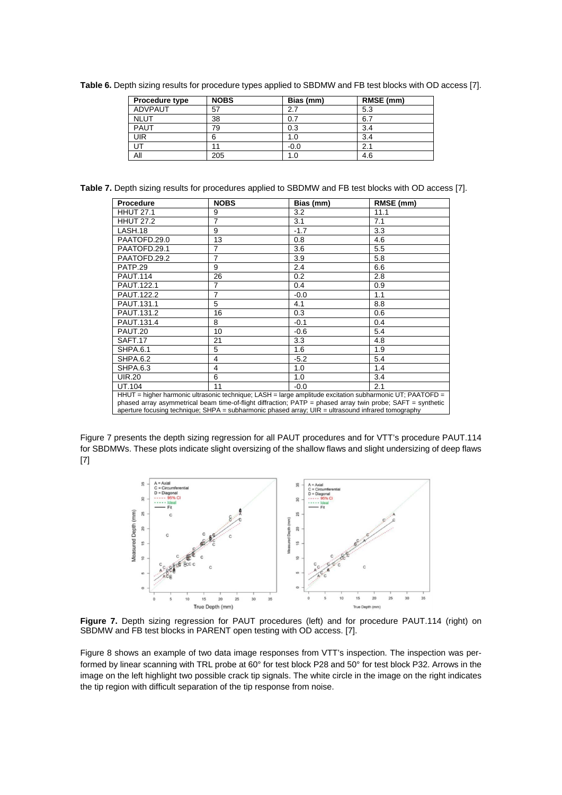| Procedure type | <b>NOBS</b> | Bias (mm) | RMSE (mm) |
|----------------|-------------|-----------|-----------|
| ADVPAUT        | 57          | 2.7       | 5.3       |
| <b>NLUT</b>    | 38          | 0.7       | 6.7       |
| PAUT           | 79          | 0.3       | 3.4       |
| <b>UIR</b>     |             | 1.0       | 3.4       |
| UT             |             | $-0.0$    | 2.1       |
| All            | 205         | 1.0       | 4.6       |

<span id="page-7-0"></span>**Table 6.** Depth sizing results for procedure types applied to SBDMW and FB test blocks with OD access [\[7\].](#page-10-2)

<span id="page-7-1"></span>**Table 7.** Depth sizing results for procedures applied to SBDMW and FB test blocks with OD access [\[7\]](#page-10-2).

| <b>Procedure</b>                                                                                                                                                                                                        | <b>NOBS</b> | Bias (mm) | RMSE (mm) |  |
|-------------------------------------------------------------------------------------------------------------------------------------------------------------------------------------------------------------------------|-------------|-----------|-----------|--|
| <b>HHUT 27.1</b>                                                                                                                                                                                                        | 9           | 3.2       | 11.1      |  |
| <b>HHUT 27.2</b>                                                                                                                                                                                                        | 7           | 3.1       | 7.1       |  |
| LASH.18                                                                                                                                                                                                                 | 9           | $-1.7$    | 3.3       |  |
| PAATOFD.29.0                                                                                                                                                                                                            | 13          | 0.8       | 4.6       |  |
| PAATOFD.29.1                                                                                                                                                                                                            | 7           | 3.6       | 5.5       |  |
| PAATOFD.29.2                                                                                                                                                                                                            | 7           | 3.9       | 5.8       |  |
| PATP.29                                                                                                                                                                                                                 | 9           | 2.4       | 6.6       |  |
| <b>PAUT.114</b>                                                                                                                                                                                                         | 26          | 0.2       | 2.8       |  |
| PAUT.122.1                                                                                                                                                                                                              | 7           | 0.4       | 0.9       |  |
| <b>PAUT.122.2</b>                                                                                                                                                                                                       | 7           | $-0.0$    | 1.1       |  |
| PAUT.131.1                                                                                                                                                                                                              | 5           | 4.1       | 8.8       |  |
| PAUT.131.2                                                                                                                                                                                                              | 16          | 0.3       | 0.6       |  |
| PAUT.131.4                                                                                                                                                                                                              | 8           | $-0.1$    | 0.4       |  |
| PAUT.20                                                                                                                                                                                                                 | 10          | $-0.6$    | 5.4       |  |
| SAFT.17                                                                                                                                                                                                                 | 21          | 3.3       | 4.8       |  |
| SHPA.6.1                                                                                                                                                                                                                | 5           | 1.6       | 1.9       |  |
| <b>SHPA.6.2</b>                                                                                                                                                                                                         | 4           | $-5.2$    | 5.4       |  |
| <b>SHPA.6.3</b>                                                                                                                                                                                                         | 4           | 1.0       | 1.4       |  |
| <b>UIR.20</b>                                                                                                                                                                                                           | 6           | 1.0       | 3.4       |  |
| UT.104                                                                                                                                                                                                                  | 11          | $-0.0$    | 2.1       |  |
| HHUT = higher harmonic ultrasonic technique; LASH = large amplitude excitation subharmonic UT; PAATOFD =<br>phased array asymmetrical beam time-of-flight diffraction; PATP = phased array twin probe; SAFT = synthetic |             |           |           |  |
| aperture focusing technique; $SHPA = subharmonic$ phased array; $UIR =$ ultrasound infrared tomography                                                                                                                  |             |           |           |  |

[Figure 7](#page-7-2) presents the depth sizing regression for all PAUT procedures and for VTT's procedure PAUT.114 for SBDMWs. These plots indicate slight oversizing of the shallow flaws and slight undersizing of deep flaws [\[7\]](#page-10-2)



<span id="page-7-2"></span>Figure 7. Depth sizing regression for PAUT procedures (left) and for procedure PAUT.114 (right) on SBDMW and FB test blocks in PARENT open testing with OD access. [\[7\]](#page-10-2).

[Figure 8](#page-8-0) shows an example of two data image responses from VTT's inspection. The inspection was performed by linear scanning with TRL probe at 60° for test block P28 and 50° for test block P32. Arrows in the image on the left highlight two possible crack tip signals. The white circle in the image on the right indicates the tip region with difficult separation of the tip response from noise.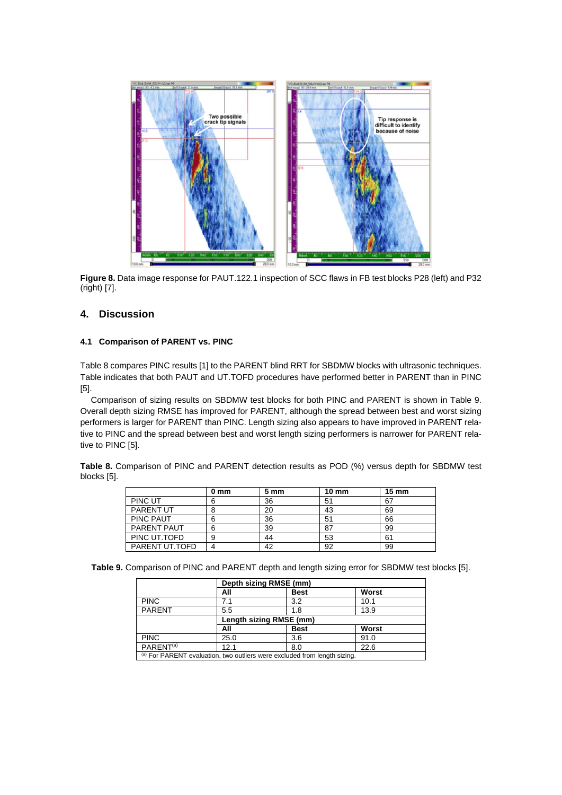

<span id="page-8-0"></span>**Figure 8.** Data image response for PAUT.122.1 inspection of SCC flaws in FB test blocks P28 (left) and P32 (right) [\[7\]](#page-10-2).

# **4. Discussion**

### **4.1 Comparison of PARENT vs. PINC**

[Table 8](#page-8-1) compares PINC results [\[1\]](#page-9-0) to the PARENT blind RRT for SBDMW blocks with ultrasonic techniques. Table indicates that both PAUT and UT.TOFD procedures have performed better in PARENT than in PINC [\[5\]](#page-10-0).

Comparison of sizing results on SBDMW test blocks for both PINC and PARENT is shown in [Table 9.](#page-8-2) Overall depth sizing RMSE has improved for PARENT, although the spread between best and worst sizing performers is larger for PARENT than PINC. Length sizing also appears to have improved in PARENT relative to PINC and the spread between best and worst length sizing performers is narrower for PARENT relative to PINC [\[5\]](#page-10-0).

<span id="page-8-1"></span>**Table 8.** Comparison of PINC and PARENT detection results as POD (%) versus depth for SBDMW test blocks [\[5\]](#page-10-0).

|                  | 0 mm | 5 mm | $10 \text{ mm}$ | $15 \text{ mm}$ |
|------------------|------|------|-----------------|-----------------|
| PINC UT          |      | 36   | 51              | 67              |
| <b>PARENT UT</b> |      | 20   | 43              | 69              |
| <b>PINC PAUT</b> |      | 36   | 51              | 66              |
| PARENT PAUT      |      | 39   | 87              | 99              |
| PINC UT.TOFD     |      | 44   | 53              | 61              |
| PARENT UT.TOFD   |      | 42   | 92              | 99              |

<span id="page-8-2"></span>**Table 9.** Comparison of PINC and PARENT depth and length sizing error for SBDMW test blocks [\[5\]](#page-10-0).

|                                                                           | Depth sizing RMSE (mm)      |             |       |  |  |
|---------------------------------------------------------------------------|-----------------------------|-------------|-------|--|--|
|                                                                           | All                         | <b>Best</b> | Worst |  |  |
| <b>PINC</b>                                                               | 7.1                         | 3.2         | 10.1  |  |  |
| <b>PARENT</b>                                                             | 5.5                         | 1.8         | 13.9  |  |  |
|                                                                           | Length sizing RMSE (mm)     |             |       |  |  |
|                                                                           | Worst<br><b>Best</b><br>All |             |       |  |  |
| <b>PINC</b>                                                               | 25.0                        | 3.6         | 91.0  |  |  |
| PARENT <sup>(a)</sup>                                                     | 12.1                        | 8.0         | 22.6  |  |  |
| (a) For PARENT evaluation, two outliers were excluded from length sizing. |                             |             |       |  |  |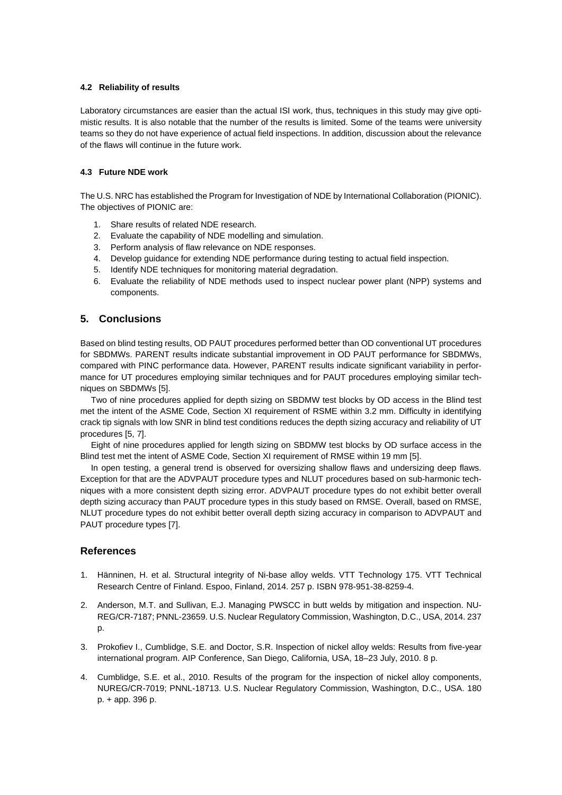### **4.2 Reliability of results**

Laboratory circumstances are easier than the actual ISI work, thus, techniques in this study may give optimistic results. It is also notable that the number of the results is limited. Some of the teams were university teams so they do not have experience of actual field inspections. In addition, discussion about the relevance of the flaws will continue in the future work.

## **4.3 Future NDE work**

The U.S. NRC has established the Program for Investigation of NDE by International Collaboration (PIONIC). The objectives of PIONIC are:

- 1. Share results of related NDE research.
- 2. Evaluate the capability of NDE modelling and simulation.
- 3. Perform analysis of flaw relevance on NDE responses.
- 4. Develop guidance for extending NDE performance during testing to actual field inspection.
- 5. Identify NDE techniques for monitoring material degradation.
- 6. Evaluate the reliability of NDE methods used to inspect nuclear power plant (NPP) systems and components.

# **5. Conclusions**

Based on blind testing results, OD PAUT procedures performed better than OD conventional UT procedures for SBDMWs. PARENT results indicate substantial improvement in OD PAUT performance for SBDMWs, compared with PINC performance data. However, PARENT results indicate significant variability in performance for UT procedures employing similar techniques and for PAUT procedures employing similar techniques on SBDMWs [5].

Two of nine procedures applied for depth sizing on SBDMW test blocks by OD access in the Blind test met the intent of the ASME Code, Section XI requirement of RSME within 3.2 mm. Difficulty in identifying crack tip signals with low SNR in blind test conditions reduces the depth sizing accuracy and reliability of UT procedures [5, 7].

Eight of nine procedures applied for length sizing on SBDMW test blocks by OD surface access in the Blind test met the intent of ASME Code, Section XI requirement of RMSE within 19 mm [5].

In open testing, a general trend is observed for oversizing shallow flaws and undersizing deep flaws. Exception for that are the ADVPAUT procedure types and NLUT procedures based on sub-harmonic techniques with a more consistent depth sizing error. ADVPAUT procedure types do not exhibit better overall depth sizing accuracy than PAUT procedure types in this study based on RMSE. Overall, based on RMSE, NLUT procedure types do not exhibit better overall depth sizing accuracy in comparison to ADVPAUT and PAUT procedure types [7].

# **References**

- <span id="page-9-0"></span>1. Hänninen, H. et al. Structural integrity of Ni-base alloy welds. VTT Technology 175. VTT Technical Research Centre of Finland. Espoo, Finland, 2014. 257 p. ISBN 978-951-38-8259-4.
- <span id="page-9-1"></span>2. Anderson, M.T. and Sullivan, E.J. Managing PWSCC in butt welds by mitigation and inspection. NU-REG/CR-7187; PNNL-23659. U.S. Nuclear Regulatory Commission, Washington, D.C., USA, 2014. 237 p.
- <span id="page-9-2"></span>3. Prokofiev I., Cumblidge, S.E. and Doctor, S.R. Inspection of nickel alloy welds: Results from five-year international program. AIP Conference, San Diego, California, USA, 18–23 July, 2010. 8 p.
- 4. Cumblidge, S.E. et al., 2010. Results of the program for the inspection of nickel alloy components, NUREG/CR-7019; PNNL-18713. U.S. Nuclear Regulatory Commission, Washington, D.C., USA. 180 p. + app. 396 p.